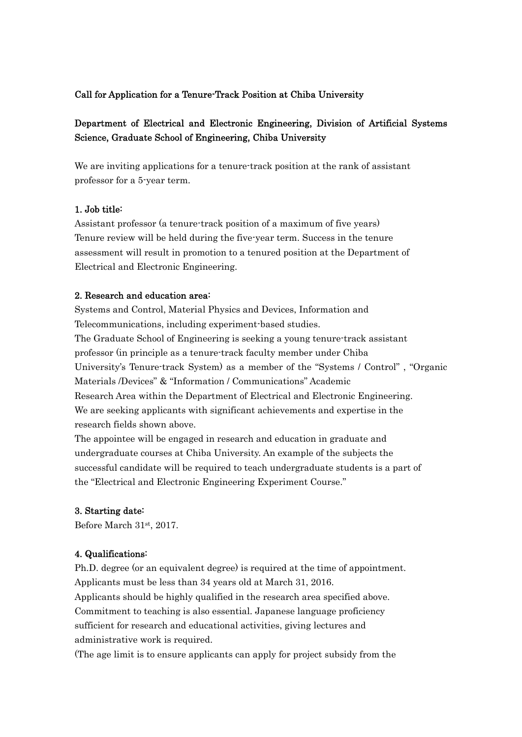### Call for Application for a Tenure-Track Position at Chiba University

# Department of Electrical and Electronic Engineering, Division of Artificial Systems Science, Graduate School of Engineering, Chiba University

We are inviting applications for a tenure-track position at the rank of assistant professor for a 5-year term.

### 1. Job title:

Assistant professor (a tenure-track position of a maximum of five years) Tenure review will be held during the five-year term. Success in the tenure assessment will result in promotion to a tenured position at the Department of Electrical and Electronic Engineering.

#### 2. Research and education area:

Systems and Control, Material Physics and Devices, Information and Telecommunications, including experiment-based studies. The Graduate School of Engineering is seeking a young tenure-track assistant professor (in principle as a tenure-track faculty member under Chiba University's Tenure-track System) as a member of the "Systems / Control" , "Organic Materials /Devices" & "Information / Communications" Academic Research Area within the Department of Electrical and Electronic Engineering. We are seeking applicants with significant achievements and expertise in the research fields shown above.

The appointee will be engaged in research and education in graduate and undergraduate courses at Chiba University. An example of the subjects the successful candidate will be required to teach undergraduate students is a part of the "Electrical and Electronic Engineering Experiment Course."

### 3. Starting date:

Before March 31st, 2017.

#### 4. Qualifications:

Ph.D. degree (or an equivalent degree) is required at the time of appointment. Applicants must be less than 34 years old at March 31, 2016. Applicants should be highly qualified in the research area specified above. Commitment to teaching is also essential. Japanese language proficiency sufficient for research and educational activities, giving lectures and administrative work is required.

(The age limit is to ensure applicants can apply for project subsidy from the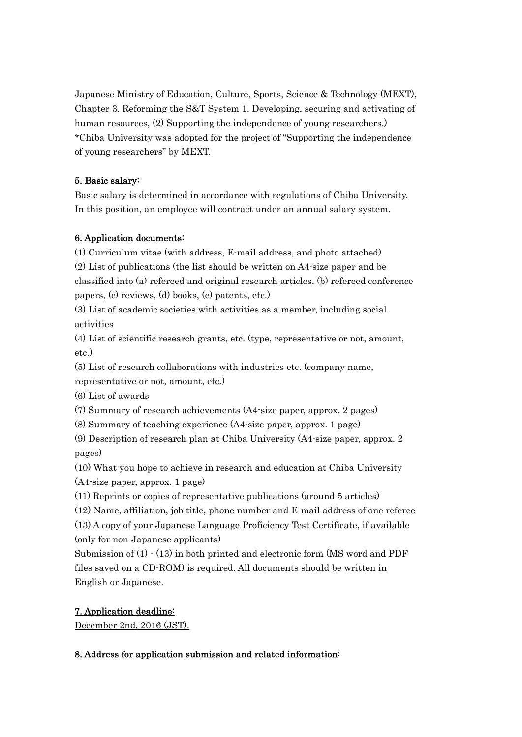Japanese Ministry of Education, Culture, Sports, Science & Technology (MEXT), Chapter 3. Reforming the S&T System 1. Developing, securing and activating of human resources, (2) Supporting the independence of young researchers.) \*Chiba University was adopted for the project of "Supporting the independence of young researchers" by MEXT.

### 5. Basic salary:

Basic salary is determined in accordance with regulations of Chiba University. In this position, an employee will contract under an annual salary system.

### 6. Application documents:

(1) Curriculum vitae (with address, E-mail address, and photo attached) (2) List of publications (the list should be written on A4-size paper and be classified into (a) refereed and original research articles, (b) refereed conference papers, (c) reviews, (d) books, (e) patents, etc.)

(3) List of academic societies with activities as a member, including social activities

(4) List of scientific research grants, etc. (type, representative or not, amount, etc.)

(5) List of research collaborations with industries etc. (company name,

representative or not, amount, etc.)

(6) List of awards

(7) Summary of research achievements (A4-size paper, approx. 2 pages)

(8) Summary of teaching experience (A4-size paper, approx. 1 page)

(9) Description of research plan at Chiba University (A4-size paper, approx. 2 pages)

(10) What you hope to achieve in research and education at Chiba University

(A4-size paper, approx. 1 page)

(11) Reprints or copies of representative publications (around 5 articles)

(12) Name, affiliation, job title, phone number and E-mail address of one referee (13) A copy of your Japanese Language Proficiency Test Certificate, if available

(only for non-Japanese applicants)

Submission of  $(1) \cdot (13)$  in both printed and electronic form (MS word and PDF files saved on a CD-ROM) is required. All documents should be written in English or Japanese.

## 7. Application deadline:

December 2nd, 2016 (JST).

## 8. Address for application submission and related information: